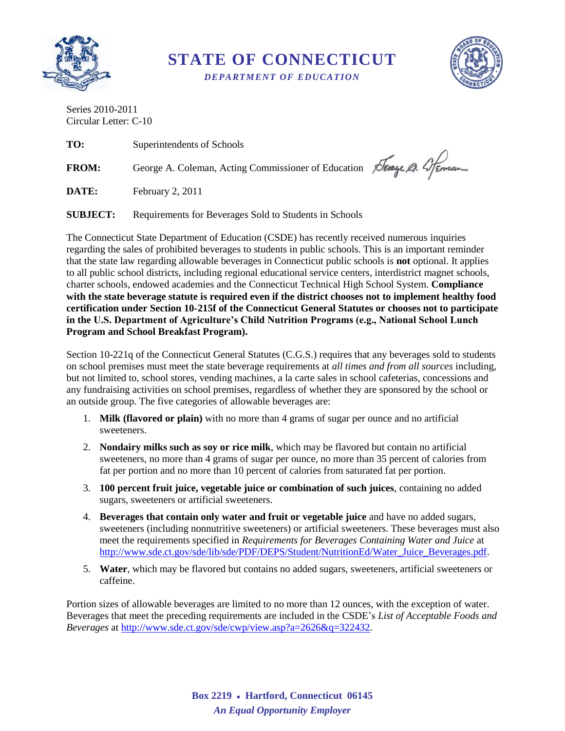

**STATE OF CONNECTICUT**

*DEPARTMENT OF EDUCATION*



Series 2010-2011 Circular Letter: C-10

**TO:** Superintendents of Schools FROM: George A. Coleman, Acting Commissioner of Education Stery Q. 4 Feman

**DATE:** February 2, 2011

**SUBJECT:** Requirements for Beverages Sold to Students in Schools

The Connecticut State Department of Education (CSDE) has recently received numerous inquiries regarding the sales of prohibited beverages to students in public schools. This is an important reminder that the state law regarding allowable beverages in Connecticut public schools is **not** optional. It applies to all public school districts, including regional educational service centers, interdistrict magnet schools, charter schools, endowed academies and the Connecticut Technical High School System. **Compliance with the state beverage statute is required even if the district chooses not to implement healthy food certification under Section 10-215f of the Connecticut General Statutes or chooses not to participate in the U.S. Department of Agriculture's Child Nutrition Programs (e.g., National School Lunch Program and School Breakfast Program).**

Section 10-221q of the Connecticut General Statutes (C.G.S.) requires that any beverages sold to students on school premises must meet the state beverage requirements at *all times and from all sources* including, but not limited to, school stores, vending machines, a la carte sales in school cafeterias, concessions and any fundraising activities on school premises, regardless of whether they are sponsored by the school or an outside group. The five categories of allowable beverages are:

- 1. **Milk (flavored or plain)** with no more than 4 grams of sugar per ounce and no artificial sweeteners.
- 2. **Nondairy milks such as soy or rice milk**, which may be flavored but contain no artificial sweeteners, no more than 4 grams of sugar per ounce, no more than 35 percent of calories from fat per portion and no more than 10 percent of calories from saturated fat per portion.
- 3. **100 percent fruit juice, vegetable juice or combination of such juices**, containing no added sugars, sweeteners or artificial sweeteners.
- 4. **Beverages that contain only water and fruit or vegetable juice** and have no added sugars, sweeteners (including nonnutritive sweeteners) or artificial sweeteners. These beverages must also meet the requirements specified in *Requirements for Beverages Containing Water and Juice* at [http://www.sde.ct.gov/sde/lib/sde/PDF/DEPS/Student/NutritionEd/Water\\_Juice\\_Beverages.pdf.](http://www.sde.ct.gov/sde/lib/sde/PDF/DEPS/Student/NutritionEd/Water_Juice_Beverages.pdf)
- 5. **Water**, which may be flavored but contains no added sugars, sweeteners, artificial sweeteners or caffeine.

Portion sizes of allowable beverages are limited to no more than 12 ounces, with the exception of water. Beverages that meet the preceding requirements are included in the CSDE's *List of Acceptable Foods and Beverages* at [http://www.sde.ct.gov/sde/cwp/view.asp?a=2626&q=322432.](http://www.sde.ct.gov/sde/cwp/view.asp?a=2626&q=322432)

> **Box 2219 Hartford, Connecticut 06145** *An Equal Opportunity Employer*